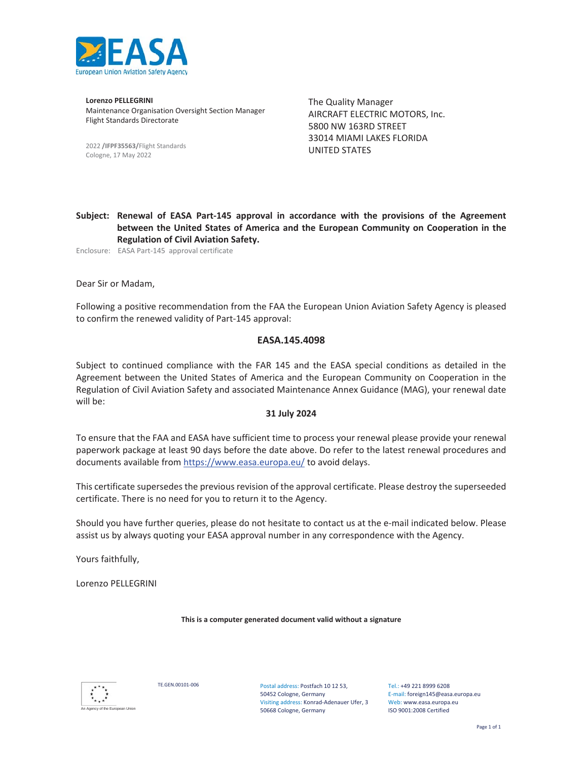

**Lorenzo PELLEGRINI** Maintenance Organisation Oversight Section Manager Flight Standards Directorate

2022 **/IFPF35563/**Flight Standards Cologne, 17 May 2022

The Quality Manager AIRCRAFT ELECTRIC MOTORS, Inc. 5800 NW 163RD STREET 33014 MIAMI LAKES FLORIDA UNITED STATES

**Subject: Renewal of EASA Part-145 approval in accordance with the provisions of the Agreement between the United States of America and the European Community on Cooperation in the Regulation of Civil Aviation Safety.**

Enclosure: EASA Part-145 approval certificate

Dear Sir or Madam,

Following a positive recommendation from the FAA the European Union Aviation Safety Agency is pleased to confirm the renewed validity of Part-145 approval:

#### **EASA.145.4098**

Subject to continued compliance with the FAR 145 and the EASA special conditions as detailed in the Agreement between the United States of America and the European Community on Cooperation in the Regulation of Civil Aviation Safety and associated Maintenance Annex Guidance (MAG), your renewal date will be:

#### **31 July 2024**

To ensure that the FAA and EASA have sufficient time to process your renewal please provide your renewal paperwork package at least 90 days before the date above. Do refer to the latest renewal procedures and documents available from https://www.easa.europa.eu/ to avoid delays.

This certificate supersedes the previous revision of the approval certificate. Please destroy the superseeded certificate. There is no need for you to return it to the Agency.

Should you have further queries, please do not hesitate to contact us at the e-mail indicated below. Please assist us by always quoting your EASA approval number in any correspondence with the Agency.

Yours faithfully,

Lorenzo PELLEGRINI

**This is a computer generated document valid without a signature**



TE.GEN.00101-006 Postal address: Postfach 10 12 53, 50452 Cologne, Germany Visiting address: Konrad-Adenauer Ufer, 3 50668 Cologne, Germany

Tel.: +49 221 8999 6208 E-mail: foreign145@easa.europa.eu Web: www.easa.europa.eu ISO 9001:2008 Certified